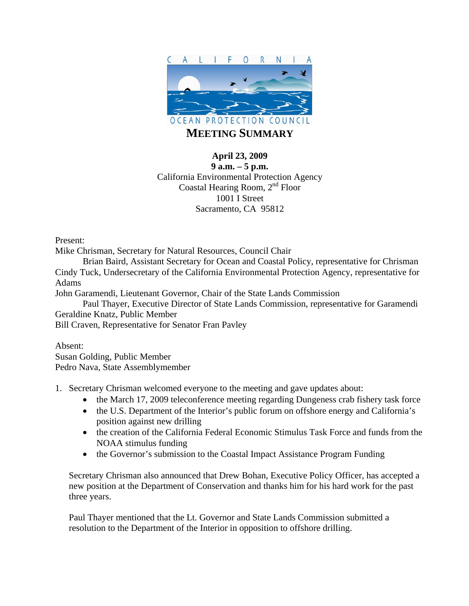

## **April 23, 2009**

**9 a.m. – 5 p.m.**  California Environmental Protection Agency Coastal Hearing Room, 2<sup>nd</sup> Floor 1001 I Street Sacramento, CA 95812

Present:

Mike Chrisman, Secretary for Natural Resources, Council Chair

 Brian Baird, Assistant Secretary for Ocean and Coastal Policy, representative for Chrisman Cindy Tuck, Undersecretary of the California Environmental Protection Agency, representative for Adams

John Garamendi, Lieutenant Governor, Chair of the State Lands Commission

 Paul Thayer, Executive Director of State Lands Commission, representative for Garamendi Geraldine Knatz, Public Member

Bill Craven, Representative for Senator Fran Pavley

Absent: Susan Golding, Public Member Pedro Nava, State Assemblymember

1. Secretary Chrisman welcomed everyone to the meeting and gave updates about:

- the March 17, 2009 teleconference meeting regarding Dungeness crab fishery task force
- the U.S. Department of the Interior's public forum on offshore energy and California's position against new drilling
- the creation of the California Federal Economic Stimulus Task Force and funds from the NOAA stimulus funding
- the Governor's submission to the Coastal Impact Assistance Program Funding

Secretary Chrisman also announced that Drew Bohan, Executive Policy Officer, has accepted a new position at the Department of Conservation and thanks him for his hard work for the past three years.

Paul Thayer mentioned that the Lt. Governor and State Lands Commission submitted a resolution to the Department of the Interior in opposition to offshore drilling.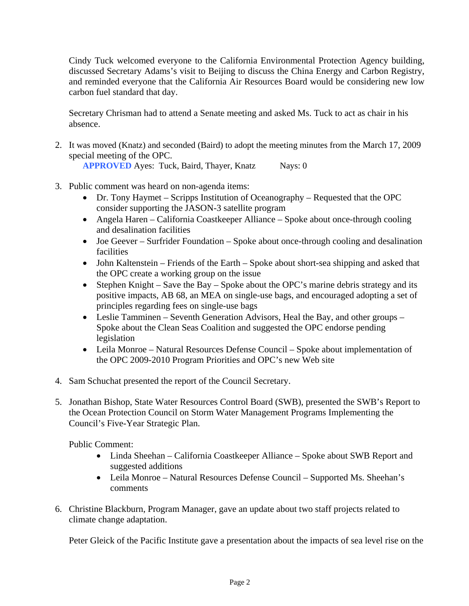Cindy Tuck welcomed everyone to the California Environmental Protection Agency building, discussed Secretary Adams's visit to Beijing to discuss the China Energy and Carbon Registry, and reminded everyone that the California Air Resources Board would be considering new low carbon fuel standard that day.

Secretary Chrisman had to attend a Senate meeting and asked Ms. Tuck to act as chair in his absence.

2. It was moved (Knatz) and seconded (Baird) to adopt the meeting minutes from the March 17, 2009 special meeting of the OPC.

**APPROVED** Ayes: Tuck, Baird, Thayer, Knatz Nays: 0

- 3. Public comment was heard on non-agenda items:
	- Dr. Tony Haymet Scripps Institution of Oceanography Requested that the OPC consider supporting the JASON-3 satellite program
	- Angela Haren California Coastkeeper Alliance Spoke about once-through cooling and desalination facilities
	- Joe Geever Surfrider Foundation Spoke about once-through cooling and desalination facilities
	- John Kaltenstein Friends of the Earth Spoke about short-sea shipping and asked that the OPC create a working group on the issue
	- Stephen Knight Save the Bay Spoke about the OPC's marine debris strategy and its positive impacts, AB 68, an MEA on single-use bags, and encouraged adopting a set of principles regarding fees on single-use bags
	- Leslie Tamminen Seventh Generation Advisors, Heal the Bay, and other groups Spoke about the Clean Seas Coalition and suggested the OPC endorse pending legislation
	- Leila Monroe Natural Resources Defense Council Spoke about implementation of the OPC 2009-2010 Program Priorities and OPC's new Web site
- 4. Sam Schuchat presented the report of the Council Secretary.
- 5. Jonathan Bishop, State Water Resources Control Board (SWB), presented the SWB's Report to the Ocean Protection Council on Storm Water Management Programs Implementing the Council's Five-Year Strategic Plan.

Public Comment:

- Linda Sheehan California Coastkeeper Alliance Spoke about SWB Report and suggested additions
- Leila Monroe Natural Resources Defense Council Supported Ms. Sheehan's comments
- 6. Christine Blackburn, Program Manager, gave an update about two staff projects related to climate change adaptation.

Peter Gleick of the Pacific Institute gave a presentation about the impacts of sea level rise on the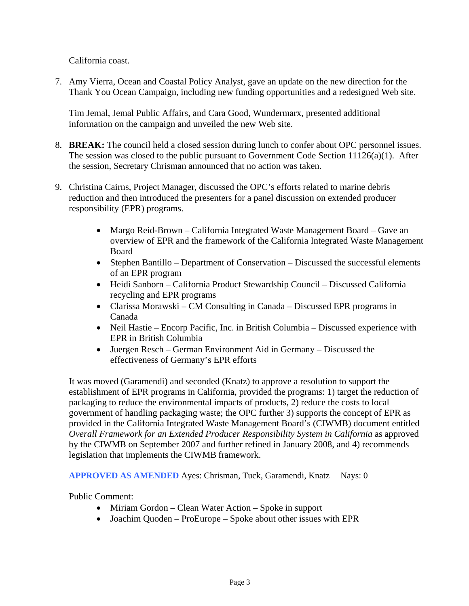California coast.

7. Amy Vierra, Ocean and Coastal Policy Analyst, gave an update on the new direction for the Thank You Ocean Campaign, including new funding opportunities and a redesigned Web site.

Tim Jemal, Jemal Public Affairs, and Cara Good, Wundermarx, presented additional information on the campaign and unveiled the new Web site.

- 8. **BREAK:** The council held a closed session during lunch to confer about OPC personnel issues. The session was closed to the public pursuant to Government Code Section 11126(a)(1). After the session, Secretary Chrisman announced that no action was taken.
- 9. Christina Cairns, Project Manager, discussed the OPC's efforts related to marine debris reduction and then introduced the presenters for a panel discussion on extended producer responsibility (EPR) programs.
	- Margo Reid-Brown California Integrated Waste Management Board Gave an overview of EPR and the framework of the California Integrated Waste Management Board
	- Stephen Bantillo Department of Conservation Discussed the successful elements of an EPR program
	- Heidi Sanborn California Product Stewardship Council Discussed California recycling and EPR programs
	- Clarissa Morawski CM Consulting in Canada Discussed EPR programs in Canada
	- Neil Hastie Encorp Pacific, Inc. in British Columbia Discussed experience with EPR in British Columbia
	- Juergen Resch German Environment Aid in Germany Discussed the effectiveness of Germany's EPR efforts

It was moved (Garamendi) and seconded (Knatz) to approve a resolution to support the establishment of EPR programs in California, provided the programs: 1) target the reduction of packaging to reduce the environmental impacts of products, 2) reduce the costs to local government of handling packaging waste; the OPC further 3) supports the concept of EPR as provided in the California Integrated Waste Management Board's (CIWMB) document entitled *Overall Framework for an Extended Producer Responsibility System in California* as approved by the CIWMB on September 2007 and further refined in January 2008, and 4) recommends legislation that implements the CIWMB framework.

**APPROVED AS AMENDED** Ayes: Chrisman, Tuck, Garamendi, Knatz Nays: 0

Public Comment:

- Miriam Gordon Clean Water Action Spoke in support
- Joachim Quoden ProEurope Spoke about other issues with EPR